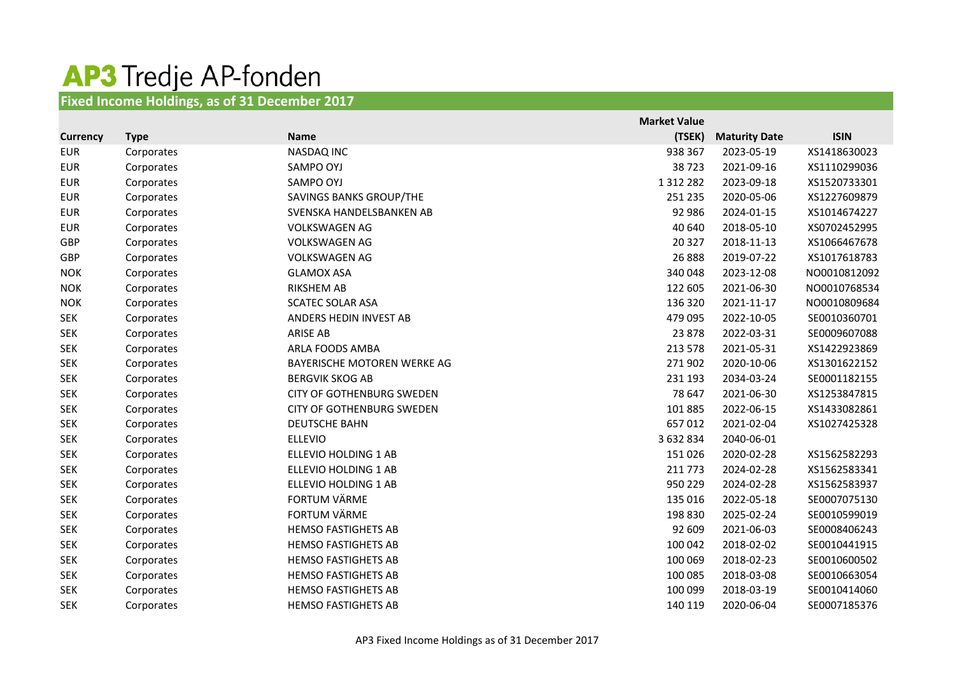## **AP3** Tredje AP-fonden

## **Fixed Income Holdings, as of 31 December 2017**

|                 |             |                                  | <b>Market Value</b> |                      |              |
|-----------------|-------------|----------------------------------|---------------------|----------------------|--------------|
| <b>Currency</b> | <b>Type</b> | <b>Name</b>                      | (TSEK)              | <b>Maturity Date</b> | <b>ISIN</b>  |
| <b>EUR</b>      | Corporates  | NASDAQ INC                       | 938 367             | 2023-05-19           | XS1418630023 |
| <b>EUR</b>      | Corporates  | SAMPO OYJ                        | 38723               | 2021-09-16           | XS1110299036 |
| <b>EUR</b>      | Corporates  | SAMPO OYJ                        | 1 3 1 2 2 8 2       | 2023-09-18           | XS1520733301 |
| <b>EUR</b>      | Corporates  | SAVINGS BANKS GROUP/THE          | 251 235             | 2020-05-06           | XS1227609879 |
| <b>EUR</b>      | Corporates  | SVENSKA HANDELSBANKEN AB         | 92 986              | 2024-01-15           | XS1014674227 |
| <b>EUR</b>      | Corporates  | <b>VOLKSWAGEN AG</b>             | 40 640              | 2018-05-10           | XS0702452995 |
| GBP             | Corporates  | <b>VOLKSWAGEN AG</b>             | 20 3 27             | 2018-11-13           | XS1066467678 |
| GBP             | Corporates  | <b>VOLKSWAGEN AG</b>             | 26 8 8 8            | 2019-07-22           | XS1017618783 |
| <b>NOK</b>      | Corporates  | <b>GLAMOX ASA</b>                | 340 048             | 2023-12-08           | NO0010812092 |
| <b>NOK</b>      | Corporates  | <b>RIKSHEM AB</b>                | 122 605             | 2021-06-30           | NO0010768534 |
| <b>NOK</b>      | Corporates  | <b>SCATEC SOLAR ASA</b>          | 136 320             | 2021-11-17           | NO0010809684 |
| <b>SEK</b>      | Corporates  | ANDERS HEDIN INVEST AB           | 479 095             | 2022-10-05           | SE0010360701 |
| <b>SEK</b>      | Corporates  | <b>ARISE AB</b>                  | 23 878              | 2022-03-31           | SE0009607088 |
| <b>SEK</b>      | Corporates  | ARLA FOODS AMBA                  | 213 578             | 2021-05-31           | XS1422923869 |
| <b>SEK</b>      | Corporates  | BAYERISCHE MOTOREN WERKE AG      | 271 902             | 2020-10-06           | XS1301622152 |
| <b>SEK</b>      | Corporates  | <b>BERGVIK SKOG AB</b>           | 231 193             | 2034-03-24           | SE0001182155 |
| <b>SEK</b>      | Corporates  | <b>CITY OF GOTHENBURG SWEDEN</b> | 78 647              | 2021-06-30           | XS1253847815 |
| <b>SEK</b>      | Corporates  | <b>CITY OF GOTHENBURG SWEDEN</b> | 101 885             | 2022-06-15           | XS1433082861 |
| <b>SEK</b>      | Corporates  | <b>DEUTSCHE BAHN</b>             | 657012              | 2021-02-04           | XS1027425328 |
| <b>SEK</b>      | Corporates  | <b>ELLEVIO</b>                   | 3 632 834           | 2040-06-01           |              |
| <b>SEK</b>      | Corporates  | ELLEVIO HOLDING 1 AB             | 151 026             | 2020-02-28           | XS1562582293 |
| <b>SEK</b>      | Corporates  | ELLEVIO HOLDING 1 AB             | 211 773             | 2024-02-28           | XS1562583341 |
| <b>SEK</b>      | Corporates  | ELLEVIO HOLDING 1 AB             | 950 229             | 2024-02-28           | XS1562583937 |
| <b>SEK</b>      | Corporates  | FORTUM VÄRME                     | 135 016             | 2022-05-18           | SE0007075130 |
| <b>SEK</b>      | Corporates  | <b>FORTUM VÄRME</b>              | 198 830             | 2025-02-24           | SE0010599019 |
| <b>SEK</b>      | Corporates  | <b>HEMSO FASTIGHETS AB</b>       | 92 609              | 2021-06-03           | SE0008406243 |
| <b>SEK</b>      | Corporates  | <b>HEMSO FASTIGHETS AB</b>       | 100 042             | 2018-02-02           | SE0010441915 |
| <b>SEK</b>      | Corporates  | <b>HEMSO FASTIGHETS AB</b>       | 100 069             | 2018-02-23           | SE0010600502 |
| <b>SEK</b>      | Corporates  | <b>HEMSO FASTIGHETS AB</b>       | 100 085             | 2018-03-08           | SE0010663054 |
| <b>SEK</b>      | Corporates  | <b>HEMSO FASTIGHETS AB</b>       | 100 099             | 2018-03-19           | SE0010414060 |
| <b>SEK</b>      | Corporates  | <b>HEMSO FASTIGHETS AB</b>       | 140 119             | 2020-06-04           | SE0007185376 |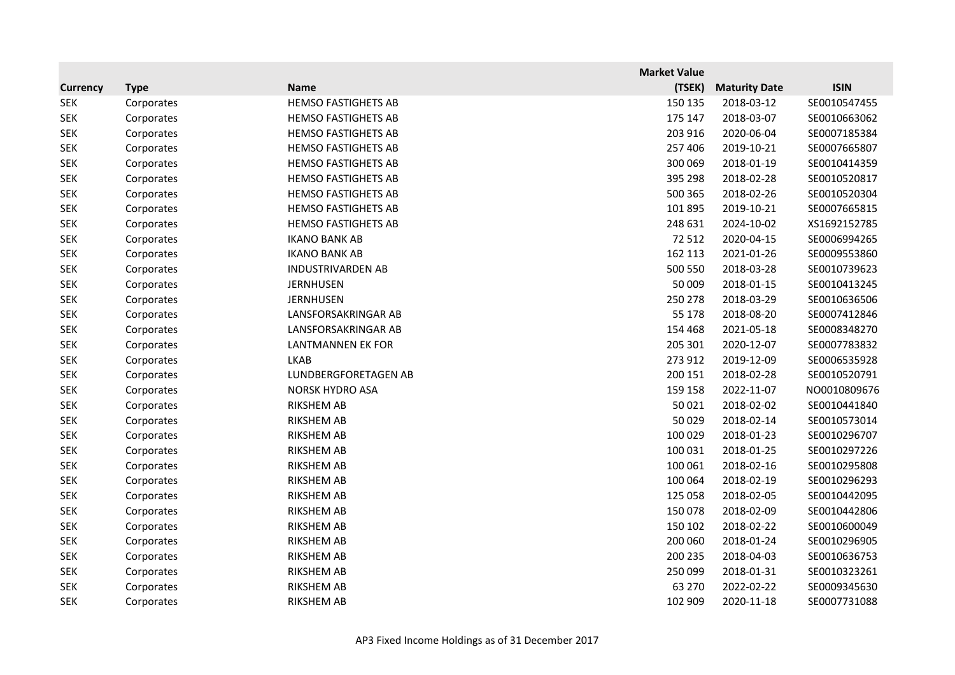|                 |             |                            | <b>Market Value</b> |                      |              |
|-----------------|-------------|----------------------------|---------------------|----------------------|--------------|
| <b>Currency</b> | <b>Type</b> | <b>Name</b>                | (TSEK)              | <b>Maturity Date</b> | <b>ISIN</b>  |
| <b>SEK</b>      | Corporates  | <b>HEMSO FASTIGHETS AB</b> | 150 135             | 2018-03-12           | SE0010547455 |
| <b>SEK</b>      | Corporates  | <b>HEMSO FASTIGHETS AB</b> | 175 147             | 2018-03-07           | SE0010663062 |
| <b>SEK</b>      | Corporates  | <b>HEMSO FASTIGHETS AB</b> | 203 916             | 2020-06-04           | SE0007185384 |
| <b>SEK</b>      | Corporates  | <b>HEMSO FASTIGHETS AB</b> | 257 406             | 2019-10-21           | SE0007665807 |
| <b>SEK</b>      | Corporates  | <b>HEMSO FASTIGHETS AB</b> | 300 069             | 2018-01-19           | SE0010414359 |
| <b>SEK</b>      | Corporates  | <b>HEMSO FASTIGHETS AB</b> | 395 298             | 2018-02-28           | SE0010520817 |
| <b>SEK</b>      | Corporates  | <b>HEMSO FASTIGHETS AB</b> | 500 365             | 2018-02-26           | SE0010520304 |
| <b>SEK</b>      | Corporates  | <b>HEMSO FASTIGHETS AB</b> | 101 895             | 2019-10-21           | SE0007665815 |
| <b>SEK</b>      | Corporates  | <b>HEMSO FASTIGHETS AB</b> | 248 631             | 2024-10-02           | XS1692152785 |
| <b>SEK</b>      | Corporates  | <b>IKANO BANK AB</b>       | 72 512              | 2020-04-15           | SE0006994265 |
| <b>SEK</b>      | Corporates  | <b>IKANO BANK AB</b>       | 162 113             | 2021-01-26           | SE0009553860 |
| <b>SEK</b>      | Corporates  | <b>INDUSTRIVARDEN AB</b>   | 500 550             | 2018-03-28           | SE0010739623 |
| <b>SEK</b>      | Corporates  | <b>JERNHUSEN</b>           | 50 009              | 2018-01-15           | SE0010413245 |
| <b>SEK</b>      | Corporates  | <b>JERNHUSEN</b>           | 250 278             | 2018-03-29           | SE0010636506 |
| <b>SEK</b>      | Corporates  | LANSFORSAKRINGAR AB        | 55 178              | 2018-08-20           | SE0007412846 |
| <b>SEK</b>      | Corporates  | LANSFORSAKRINGAR AB        | 154 468             | 2021-05-18           | SE0008348270 |
| <b>SEK</b>      | Corporates  | LANTMANNEN EK FOR          | 205 301             | 2020-12-07           | SE0007783832 |
| <b>SEK</b>      | Corporates  | <b>LKAB</b>                | 273 912             | 2019-12-09           | SE0006535928 |
| <b>SEK</b>      | Corporates  | LUNDBERGFORETAGEN AB       | 200 151             | 2018-02-28           | SE0010520791 |
| <b>SEK</b>      | Corporates  | NORSK HYDRO ASA            | 159 158             | 2022-11-07           | NO0010809676 |
| <b>SEK</b>      | Corporates  | <b>RIKSHEM AB</b>          | 50 0 21             | 2018-02-02           | SE0010441840 |
| <b>SEK</b>      | Corporates  | <b>RIKSHEM AB</b>          | 50 0 29             | 2018-02-14           | SE0010573014 |
| <b>SEK</b>      | Corporates  | RIKSHEM AB                 | 100 029             | 2018-01-23           | SE0010296707 |
| <b>SEK</b>      | Corporates  | <b>RIKSHEM AB</b>          | 100 031             | 2018-01-25           | SE0010297226 |
| <b>SEK</b>      | Corporates  | <b>RIKSHEM AB</b>          | 100 061             | 2018-02-16           | SE0010295808 |
| <b>SEK</b>      | Corporates  | RIKSHEM AB                 | 100 064             | 2018-02-19           | SE0010296293 |
| <b>SEK</b>      | Corporates  | <b>RIKSHEM AB</b>          | 125 058             | 2018-02-05           | SE0010442095 |
| <b>SEK</b>      | Corporates  | <b>RIKSHEM AB</b>          | 150 078             | 2018-02-09           | SE0010442806 |
| <b>SEK</b>      | Corporates  | <b>RIKSHEM AB</b>          | 150 102             | 2018-02-22           | SE0010600049 |
| <b>SEK</b>      | Corporates  | <b>RIKSHEM AB</b>          | 200 060             | 2018-01-24           | SE0010296905 |
| <b>SEK</b>      | Corporates  | <b>RIKSHEM AB</b>          | 200 235             | 2018-04-03           | SE0010636753 |
| <b>SEK</b>      | Corporates  | <b>RIKSHEM AB</b>          | 250 099             | 2018-01-31           | SE0010323261 |
| <b>SEK</b>      | Corporates  | <b>RIKSHEM AB</b>          | 63 270              | 2022-02-22           | SE0009345630 |
| <b>SEK</b>      | Corporates  | <b>RIKSHEM AB</b>          | 102 909             | 2020-11-18           | SE0007731088 |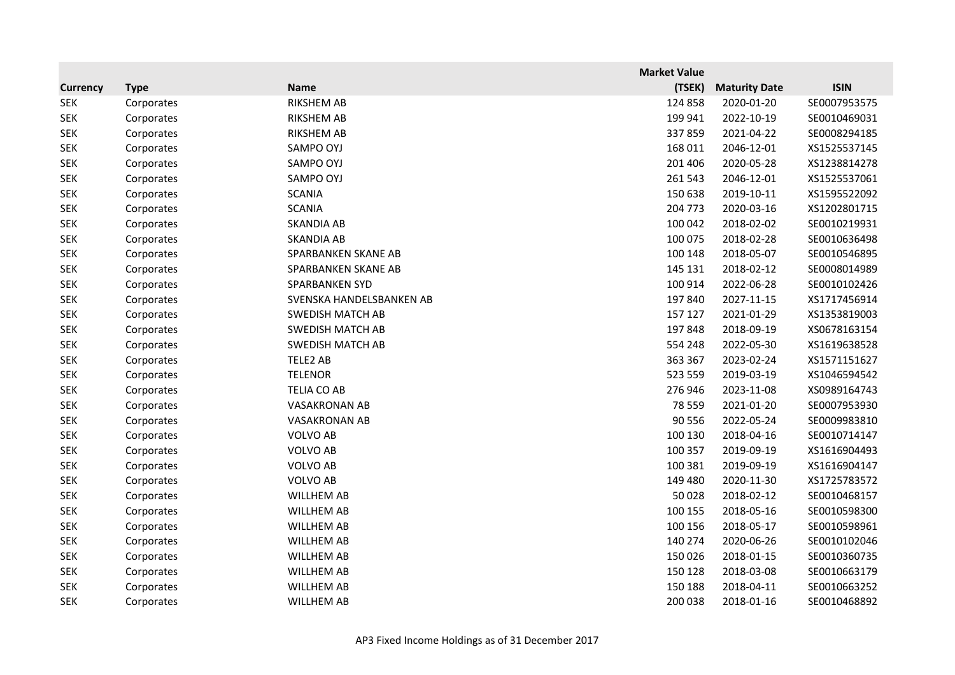|                 |             |                          | <b>Market Value</b> |                      |              |
|-----------------|-------------|--------------------------|---------------------|----------------------|--------------|
| <b>Currency</b> | <b>Type</b> | <b>Name</b>              | (TSEK)              | <b>Maturity Date</b> | <b>ISIN</b>  |
| <b>SEK</b>      | Corporates  | RIKSHEM AB               | 124 858             | 2020-01-20           | SE0007953575 |
| <b>SEK</b>      | Corporates  | <b>RIKSHEM AB</b>        | 199 941             | 2022-10-19           | SE0010469031 |
| <b>SEK</b>      | Corporates  | <b>RIKSHEM AB</b>        | 337859              | 2021-04-22           | SE0008294185 |
| <b>SEK</b>      | Corporates  | SAMPO OYJ                | 168 011             | 2046-12-01           | XS1525537145 |
| <b>SEK</b>      | Corporates  | SAMPO OYJ                | 201 406             | 2020-05-28           | XS1238814278 |
| <b>SEK</b>      | Corporates  | SAMPO OYJ                | 261 543             | 2046-12-01           | XS1525537061 |
| <b>SEK</b>      | Corporates  | <b>SCANIA</b>            | 150 638             | 2019-10-11           | XS1595522092 |
| <b>SEK</b>      | Corporates  | <b>SCANIA</b>            | 204 773             | 2020-03-16           | XS1202801715 |
| <b>SEK</b>      | Corporates  | SKANDIA AB               | 100 042             | 2018-02-02           | SE0010219931 |
| <b>SEK</b>      | Corporates  | SKANDIA AB               | 100 075             | 2018-02-28           | SE0010636498 |
| <b>SEK</b>      | Corporates  | SPARBANKEN SKANE AB      | 100 148             | 2018-05-07           | SE0010546895 |
| <b>SEK</b>      | Corporates  | SPARBANKEN SKANE AB      | 145 131             | 2018-02-12           | SE0008014989 |
| <b>SEK</b>      | Corporates  | SPARBANKEN SYD           | 100 914             | 2022-06-28           | SE0010102426 |
| <b>SEK</b>      | Corporates  | SVENSKA HANDELSBANKEN AB | 197 840             | 2027-11-15           | XS1717456914 |
| <b>SEK</b>      | Corporates  | <b>SWEDISH MATCH AB</b>  | 157 127             | 2021-01-29           | XS1353819003 |
| <b>SEK</b>      | Corporates  | <b>SWEDISH MATCH AB</b>  | 197848              | 2018-09-19           | XS0678163154 |
| <b>SEK</b>      | Corporates  | <b>SWEDISH MATCH AB</b>  | 554 248             | 2022-05-30           | XS1619638528 |
| <b>SEK</b>      | Corporates  | TELE2 AB                 | 363 367             | 2023-02-24           | XS1571151627 |
| <b>SEK</b>      | Corporates  | <b>TELENOR</b>           | 523 559             | 2019-03-19           | XS1046594542 |
| <b>SEK</b>      | Corporates  | <b>TELIA CO AB</b>       | 276 946             | 2023-11-08           | XS0989164743 |
| <b>SEK</b>      | Corporates  | <b>VASAKRONAN AB</b>     | 78 5 5 9            | 2021-01-20           | SE0007953930 |
| <b>SEK</b>      | Corporates  | <b>VASAKRONAN AB</b>     | 90 556              | 2022-05-24           | SE0009983810 |
| <b>SEK</b>      | Corporates  | <b>VOLVO AB</b>          | 100 130             | 2018-04-16           | SE0010714147 |
| <b>SEK</b>      | Corporates  | <b>VOLVO AB</b>          | 100 357             | 2019-09-19           | XS1616904493 |
| <b>SEK</b>      | Corporates  | <b>VOLVO AB</b>          | 100 381             | 2019-09-19           | XS1616904147 |
| <b>SEK</b>      | Corporates  | <b>VOLVO AB</b>          | 149 480             | 2020-11-30           | XS1725783572 |
| <b>SEK</b>      | Corporates  | <b>WILLHEM AB</b>        | 50 0 28             | 2018-02-12           | SE0010468157 |
| <b>SEK</b>      | Corporates  | WILLHEM AB               | 100 155             | 2018-05-16           | SE0010598300 |
| <b>SEK</b>      | Corporates  | <b>WILLHEM AB</b>        | 100 156             | 2018-05-17           | SE0010598961 |
| <b>SEK</b>      | Corporates  | <b>WILLHEM AB</b>        | 140 274             | 2020-06-26           | SE0010102046 |
| <b>SEK</b>      | Corporates  | <b>WILLHEM AB</b>        | 150 026             | 2018-01-15           | SE0010360735 |
| <b>SEK</b>      | Corporates  | <b>WILLHEM AB</b>        | 150 128             | 2018-03-08           | SE0010663179 |
| <b>SEK</b>      | Corporates  | <b>WILLHEM AB</b>        | 150 188             | 2018-04-11           | SE0010663252 |
| <b>SEK</b>      | Corporates  | <b>WILLHEM AB</b>        | 200 038             | 2018-01-16           | SE0010468892 |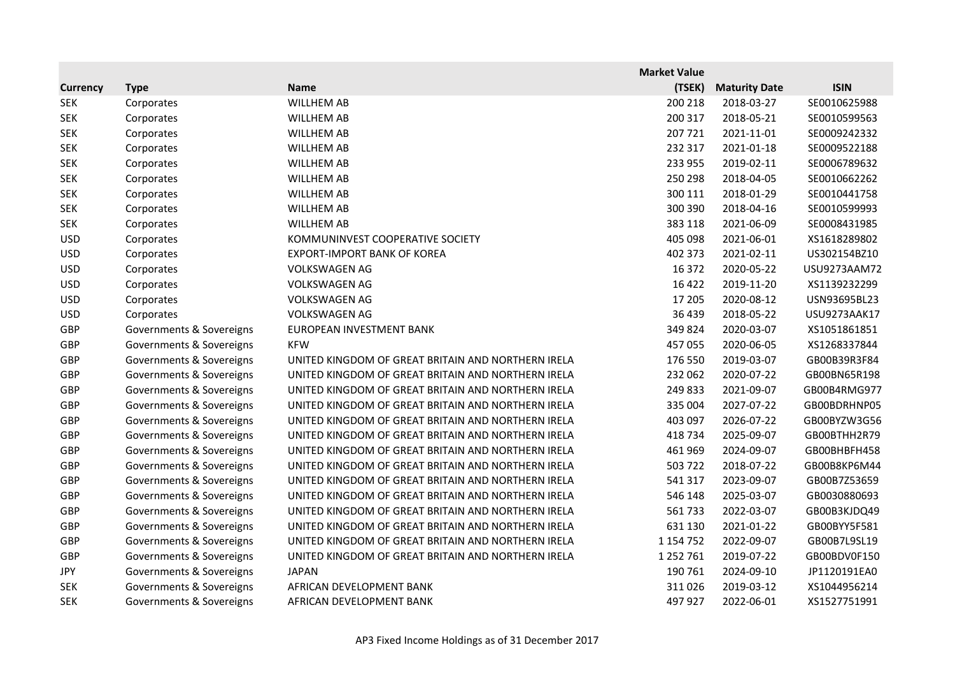|                 |                          |                                                    | <b>Market Value</b> |                      |              |
|-----------------|--------------------------|----------------------------------------------------|---------------------|----------------------|--------------|
| <b>Currency</b> | <b>Type</b>              | <b>Name</b>                                        | (TSEK)              | <b>Maturity Date</b> | <b>ISIN</b>  |
| <b>SEK</b>      | Corporates               | WILLHEM AB                                         | 200 218             | 2018-03-27           | SE0010625988 |
| <b>SEK</b>      | Corporates               | WILLHEM AB                                         | 200 317             | 2018-05-21           | SE0010599563 |
| <b>SEK</b>      | Corporates               | <b>WILLHEM AB</b>                                  | 207 721             | 2021-11-01           | SE0009242332 |
| <b>SEK</b>      | Corporates               | <b>WILLHEM AB</b>                                  | 232 317             | 2021-01-18           | SE0009522188 |
| <b>SEK</b>      | Corporates               | <b>WILLHEM AB</b>                                  | 233 955             | 2019-02-11           | SE0006789632 |
| <b>SEK</b>      | Corporates               | <b>WILLHEM AB</b>                                  | 250 298             | 2018-04-05           | SE0010662262 |
| <b>SEK</b>      | Corporates               | <b>WILLHEM AB</b>                                  | 300 111             | 2018-01-29           | SE0010441758 |
| <b>SEK</b>      | Corporates               | <b>WILLHEM AB</b>                                  | 300 390             | 2018-04-16           | SE0010599993 |
| <b>SEK</b>      | Corporates               | <b>WILLHEM AB</b>                                  | 383 118             | 2021-06-09           | SE0008431985 |
| <b>USD</b>      | Corporates               | KOMMUNINVEST COOPERATIVE SOCIETY                   | 405 098             | 2021-06-01           | XS1618289802 |
| <b>USD</b>      | Corporates               | <b>EXPORT-IMPORT BANK OF KOREA</b>                 | 402 373             | 2021-02-11           | US302154BZ10 |
| <b>USD</b>      | Corporates               | <b>VOLKSWAGEN AG</b>                               | 16 372              | 2020-05-22           | USU9273AAM72 |
| <b>USD</b>      | Corporates               | <b>VOLKSWAGEN AG</b>                               | 16 4 22             | 2019-11-20           | XS1139232299 |
| <b>USD</b>      | Corporates               | <b>VOLKSWAGEN AG</b>                               | 17 205              | 2020-08-12           | USN93695BL23 |
| <b>USD</b>      | Corporates               | <b>VOLKSWAGEN AG</b>                               | 36 439              | 2018-05-22           | USU9273AAK17 |
| GBP             | Governments & Sovereigns | EUROPEAN INVESTMENT BANK                           | 349824              | 2020-03-07           | XS1051861851 |
| GBP             | Governments & Sovereigns | <b>KFW</b>                                         | 457 055             | 2020-06-05           | XS1268337844 |
| GBP             | Governments & Sovereigns | UNITED KINGDOM OF GREAT BRITAIN AND NORTHERN IRELA | 176 550             | 2019-03-07           | GB00B39R3F84 |
| GBP             | Governments & Sovereigns | UNITED KINGDOM OF GREAT BRITAIN AND NORTHERN IRELA | 232 062             | 2020-07-22           | GB00BN65R198 |
| GBP             | Governments & Sovereigns | UNITED KINGDOM OF GREAT BRITAIN AND NORTHERN IRELA | 249 833             | 2021-09-07           | GB00B4RMG977 |
| GBP             | Governments & Sovereigns | UNITED KINGDOM OF GREAT BRITAIN AND NORTHERN IRELA | 335 004             | 2027-07-22           | GB00BDRHNP05 |
| GBP             | Governments & Sovereigns | UNITED KINGDOM OF GREAT BRITAIN AND NORTHERN IRELA | 403 097             | 2026-07-22           | GB00BYZW3G56 |
| GBP             | Governments & Sovereigns | UNITED KINGDOM OF GREAT BRITAIN AND NORTHERN IRELA | 418 734             | 2025-09-07           | GB00BTHH2R79 |
| GBP             | Governments & Sovereigns | UNITED KINGDOM OF GREAT BRITAIN AND NORTHERN IRELA | 461 969             | 2024-09-07           | GB00BHBFH458 |
| GBP             | Governments & Sovereigns | UNITED KINGDOM OF GREAT BRITAIN AND NORTHERN IRELA | 503 722             | 2018-07-22           | GB00B8KP6M44 |
| GBP             | Governments & Sovereigns | UNITED KINGDOM OF GREAT BRITAIN AND NORTHERN IRELA | 541 317             | 2023-09-07           | GB00B7Z53659 |
| GBP             | Governments & Sovereigns | UNITED KINGDOM OF GREAT BRITAIN AND NORTHERN IRELA | 546 148             | 2025-03-07           | GB0030880693 |
| GBP             | Governments & Sovereigns | UNITED KINGDOM OF GREAT BRITAIN AND NORTHERN IRELA | 561733              | 2022-03-07           | GB00B3KJDQ49 |
| GBP             | Governments & Sovereigns | UNITED KINGDOM OF GREAT BRITAIN AND NORTHERN IRELA | 631 130             | 2021-01-22           | GB00BYY5F581 |
| GBP             | Governments & Sovereigns | UNITED KINGDOM OF GREAT BRITAIN AND NORTHERN IRELA | 1 1 5 4 7 5 2       | 2022-09-07           | GB00B7L9SL19 |
| GBP             | Governments & Sovereigns | UNITED KINGDOM OF GREAT BRITAIN AND NORTHERN IRELA | 1 2 5 2 7 6 1       | 2019-07-22           | GB00BDV0F150 |
| <b>JPY</b>      | Governments & Sovereigns | JAPAN                                              | 190 761             | 2024-09-10           | JP1120191EA0 |
| <b>SEK</b>      | Governments & Sovereigns | AFRICAN DEVELOPMENT BANK                           | 311026              | 2019-03-12           | XS1044956214 |
| <b>SEK</b>      | Governments & Sovereigns | AFRICAN DEVELOPMENT BANK                           | 497 927             | 2022-06-01           | XS1527751991 |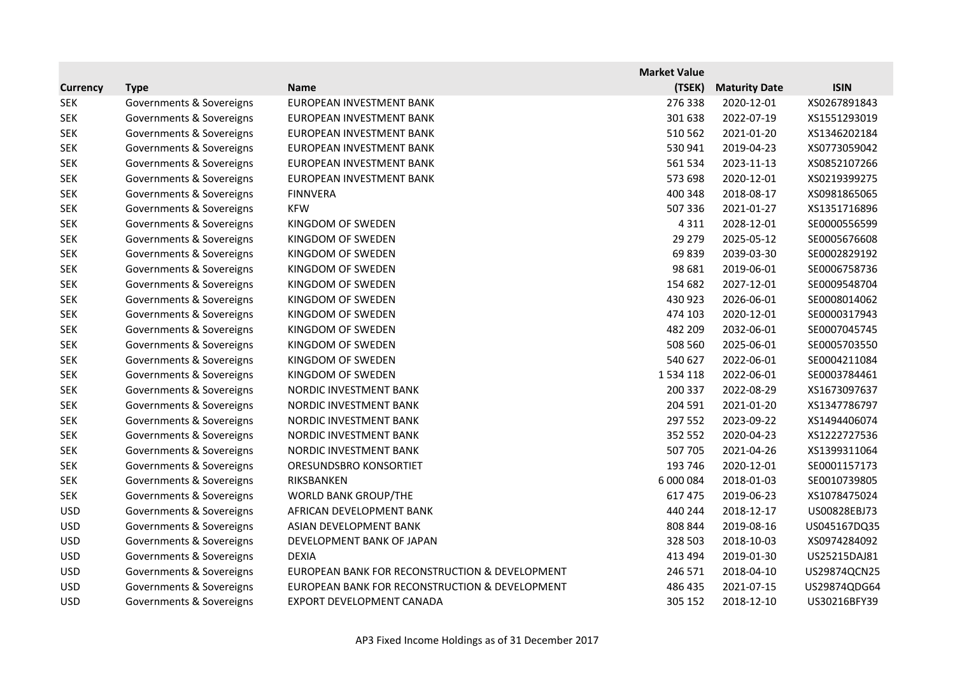|                 |                          |                                                | <b>Market Value</b> |                      |              |
|-----------------|--------------------------|------------------------------------------------|---------------------|----------------------|--------------|
| <b>Currency</b> | <b>Type</b>              | <b>Name</b>                                    | (TSEK)              | <b>Maturity Date</b> | <b>ISIN</b>  |
| <b>SEK</b>      | Governments & Sovereigns | EUROPEAN INVESTMENT BANK                       | 276 338             | 2020-12-01           | XS0267891843 |
| <b>SEK</b>      | Governments & Sovereigns | EUROPEAN INVESTMENT BANK                       | 301 638             | 2022-07-19           | XS1551293019 |
| <b>SEK</b>      | Governments & Sovereigns | EUROPEAN INVESTMENT BANK                       | 510 562             | 2021-01-20           | XS1346202184 |
| <b>SEK</b>      | Governments & Sovereigns | EUROPEAN INVESTMENT BANK                       | 530 941             | 2019-04-23           | XS0773059042 |
| <b>SEK</b>      | Governments & Sovereigns | EUROPEAN INVESTMENT BANK                       | 561 534             | 2023-11-13           | XS0852107266 |
| <b>SEK</b>      | Governments & Sovereigns | EUROPEAN INVESTMENT BANK                       | 573 698             | 2020-12-01           | XS0219399275 |
| <b>SEK</b>      | Governments & Sovereigns | <b>FINNVERA</b>                                | 400 348             | 2018-08-17           | XS0981865065 |
| <b>SEK</b>      | Governments & Sovereigns | <b>KFW</b>                                     | 507 336             | 2021-01-27           | XS1351716896 |
| <b>SEK</b>      | Governments & Sovereigns | KINGDOM OF SWEDEN                              | 4 3 1 1             | 2028-12-01           | SE0000556599 |
| <b>SEK</b>      | Governments & Sovereigns | KINGDOM OF SWEDEN                              | 29 27 9             | 2025-05-12           | SE0005676608 |
| <b>SEK</b>      | Governments & Sovereigns | KINGDOM OF SWEDEN                              | 69839               | 2039-03-30           | SE0002829192 |
| <b>SEK</b>      | Governments & Sovereigns | KINGDOM OF SWEDEN                              | 98 681              | 2019-06-01           | SE0006758736 |
| <b>SEK</b>      | Governments & Sovereigns | KINGDOM OF SWEDEN                              | 154 682             | 2027-12-01           | SE0009548704 |
| <b>SEK</b>      | Governments & Sovereigns | KINGDOM OF SWEDEN                              | 430 923             | 2026-06-01           | SE0008014062 |
| <b>SEK</b>      | Governments & Sovereigns | KINGDOM OF SWEDEN                              | 474 103             | 2020-12-01           | SE0000317943 |
| <b>SEK</b>      | Governments & Sovereigns | KINGDOM OF SWEDEN                              | 482 209             | 2032-06-01           | SE0007045745 |
| <b>SEK</b>      | Governments & Sovereigns | KINGDOM OF SWEDEN                              | 508 560             | 2025-06-01           | SE0005703550 |
| <b>SEK</b>      | Governments & Sovereigns | KINGDOM OF SWEDEN                              | 540 627             | 2022-06-01           | SE0004211084 |
| <b>SEK</b>      | Governments & Sovereigns | KINGDOM OF SWEDEN                              | 1534 118            | 2022-06-01           | SE0003784461 |
| <b>SEK</b>      | Governments & Sovereigns | NORDIC INVESTMENT BANK                         | 200 337             | 2022-08-29           | XS1673097637 |
| <b>SEK</b>      | Governments & Sovereigns | NORDIC INVESTMENT BANK                         | 204 591             | 2021-01-20           | XS1347786797 |
| <b>SEK</b>      | Governments & Sovereigns | NORDIC INVESTMENT BANK                         | 297 552             | 2023-09-22           | XS1494406074 |
| <b>SEK</b>      | Governments & Sovereigns | NORDIC INVESTMENT BANK                         | 352 552             | 2020-04-23           | XS1222727536 |
| <b>SEK</b>      | Governments & Sovereigns | NORDIC INVESTMENT BANK                         | 507 705             | 2021-04-26           | XS1399311064 |
| <b>SEK</b>      | Governments & Sovereigns | ORESUNDSBRO KONSORTIET                         | 193 746             | 2020-12-01           | SE0001157173 |
| <b>SEK</b>      | Governments & Sovereigns | RIKSBANKEN                                     | 6 000 084           | 2018-01-03           | SE0010739805 |
| <b>SEK</b>      | Governments & Sovereigns | <b>WORLD BANK GROUP/THE</b>                    | 617 475             | 2019-06-23           | XS1078475024 |
| <b>USD</b>      | Governments & Sovereigns | AFRICAN DEVELOPMENT BANK                       | 440 244             | 2018-12-17           | US00828EBJ73 |
| <b>USD</b>      | Governments & Sovereigns | ASIAN DEVELOPMENT BANK                         | 808 844             | 2019-08-16           | US045167DQ35 |
| <b>USD</b>      | Governments & Sovereigns | DEVELOPMENT BANK OF JAPAN                      | 328 503             | 2018-10-03           | XS0974284092 |
| <b>USD</b>      | Governments & Sovereigns | <b>DEXIA</b>                                   | 413 494             | 2019-01-30           | US25215DAJ81 |
| <b>USD</b>      | Governments & Sovereigns | EUROPEAN BANK FOR RECONSTRUCTION & DEVELOPMENT | 246 571             | 2018-04-10           | US29874QCN25 |
| <b>USD</b>      | Governments & Sovereigns | EUROPEAN BANK FOR RECONSTRUCTION & DEVELOPMENT | 486 435             | 2021-07-15           | US29874QDG64 |
| <b>USD</b>      | Governments & Sovereigns | EXPORT DEVELOPMENT CANADA                      | 305 152             | 2018-12-10           | US30216BFY39 |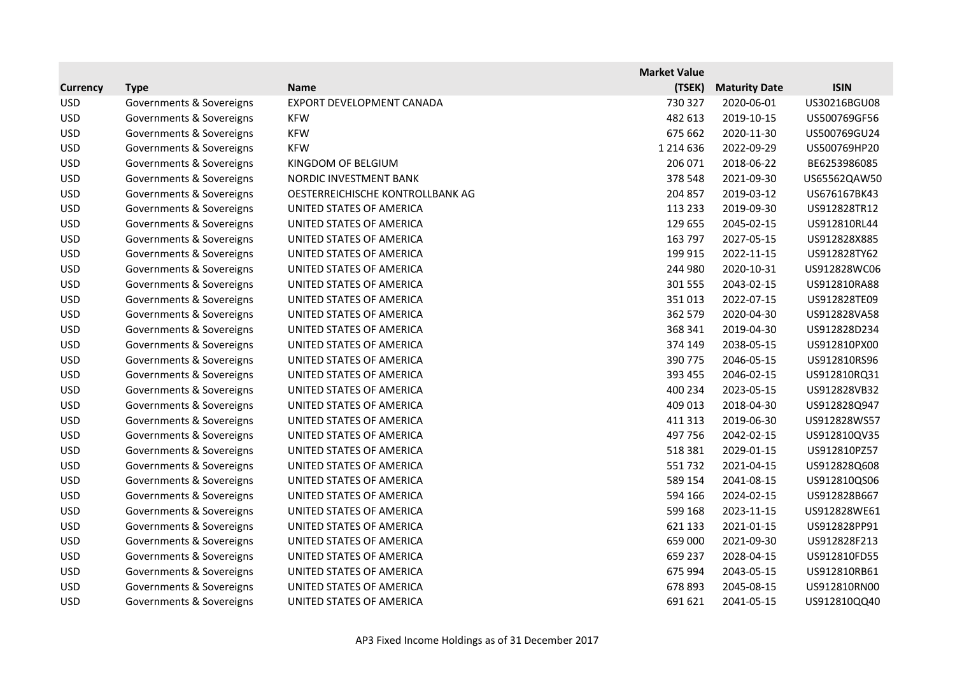|                 |                          |                                  | <b>Market Value</b> |                      |              |
|-----------------|--------------------------|----------------------------------|---------------------|----------------------|--------------|
| <b>Currency</b> | <b>Type</b>              | <b>Name</b>                      | (TSEK)              | <b>Maturity Date</b> | <b>ISIN</b>  |
| <b>USD</b>      | Governments & Sovereigns | EXPORT DEVELOPMENT CANADA        | 730 327             | 2020-06-01           | US30216BGU08 |
| <b>USD</b>      | Governments & Sovereigns | <b>KFW</b>                       | 482 613             | 2019-10-15           | US500769GF56 |
| <b>USD</b>      | Governments & Sovereigns | <b>KFW</b>                       | 675 662             | 2020-11-30           | US500769GU24 |
| <b>USD</b>      | Governments & Sovereigns | <b>KFW</b>                       | 1 2 1 4 6 3 6       | 2022-09-29           | US500769HP20 |
| <b>USD</b>      | Governments & Sovereigns | KINGDOM OF BELGIUM               | 206 071             | 2018-06-22           | BE6253986085 |
| <b>USD</b>      | Governments & Sovereigns | NORDIC INVESTMENT BANK           | 378 548             | 2021-09-30           | US65562QAW50 |
| <b>USD</b>      | Governments & Sovereigns | OESTERREICHISCHE KONTROLLBANK AG | 204 857             | 2019-03-12           | US676167BK43 |
| <b>USD</b>      | Governments & Sovereigns | UNITED STATES OF AMERICA         | 113 233             | 2019-09-30           | US912828TR12 |
| <b>USD</b>      | Governments & Sovereigns | UNITED STATES OF AMERICA         | 129 655             | 2045-02-15           | US912810RL44 |
| <b>USD</b>      | Governments & Sovereigns | UNITED STATES OF AMERICA         | 163 797             | 2027-05-15           | US912828X885 |
| <b>USD</b>      | Governments & Sovereigns | UNITED STATES OF AMERICA         | 199 915             | 2022-11-15           | US912828TY62 |
| <b>USD</b>      | Governments & Sovereigns | UNITED STATES OF AMERICA         | 244 980             | 2020-10-31           | US912828WC06 |
| <b>USD</b>      | Governments & Sovereigns | UNITED STATES OF AMERICA         | 301 555             | 2043-02-15           | US912810RA88 |
| <b>USD</b>      | Governments & Sovereigns | UNITED STATES OF AMERICA         | 351013              | 2022-07-15           | US912828TE09 |
| <b>USD</b>      | Governments & Sovereigns | UNITED STATES OF AMERICA         | 362 579             | 2020-04-30           | US912828VA58 |
| <b>USD</b>      | Governments & Sovereigns | UNITED STATES OF AMERICA         | 368 341             | 2019-04-30           | US912828D234 |
| <b>USD</b>      | Governments & Sovereigns | UNITED STATES OF AMERICA         | 374 149             | 2038-05-15           | US912810PX00 |
| <b>USD</b>      | Governments & Sovereigns | UNITED STATES OF AMERICA         | 390 775             | 2046-05-15           | US912810RS96 |
| <b>USD</b>      | Governments & Sovereigns | UNITED STATES OF AMERICA         | 393 455             | 2046-02-15           | US912810RQ31 |
| <b>USD</b>      | Governments & Sovereigns | UNITED STATES OF AMERICA         | 400 234             | 2023-05-15           | US912828VB32 |
| <b>USD</b>      | Governments & Sovereigns | UNITED STATES OF AMERICA         | 409 013             | 2018-04-30           | US912828Q947 |
| <b>USD</b>      | Governments & Sovereigns | UNITED STATES OF AMERICA         | 411 313             | 2019-06-30           | US912828WS57 |
| <b>USD</b>      | Governments & Sovereigns | UNITED STATES OF AMERICA         | 497 756             | 2042-02-15           | US912810QV35 |
| <b>USD</b>      | Governments & Sovereigns | UNITED STATES OF AMERICA         | 518 381             | 2029-01-15           | US912810PZ57 |
| <b>USD</b>      | Governments & Sovereigns | UNITED STATES OF AMERICA         | 551732              | 2021-04-15           | US912828Q608 |
| <b>USD</b>      | Governments & Sovereigns | UNITED STATES OF AMERICA         | 589 154             | 2041-08-15           | US912810QS06 |
| <b>USD</b>      | Governments & Sovereigns | UNITED STATES OF AMERICA         | 594 166             | 2024-02-15           | US912828B667 |
| <b>USD</b>      | Governments & Sovereigns | UNITED STATES OF AMERICA         | 599 168             | 2023-11-15           | US912828WE61 |
| <b>USD</b>      | Governments & Sovereigns | UNITED STATES OF AMERICA         | 621 133             | 2021-01-15           | US912828PP91 |
| <b>USD</b>      | Governments & Sovereigns | UNITED STATES OF AMERICA         | 659 000             | 2021-09-30           | US912828F213 |
| <b>USD</b>      | Governments & Sovereigns | UNITED STATES OF AMERICA         | 659 237             | 2028-04-15           | US912810FD55 |
| <b>USD</b>      | Governments & Sovereigns | UNITED STATES OF AMERICA         | 675 994             | 2043-05-15           | US912810RB61 |
| <b>USD</b>      | Governments & Sovereigns | UNITED STATES OF AMERICA         | 678 893             | 2045-08-15           | US912810RN00 |
| <b>USD</b>      | Governments & Sovereigns | UNITED STATES OF AMERICA         | 691 621             | 2041-05-15           | US912810QQ40 |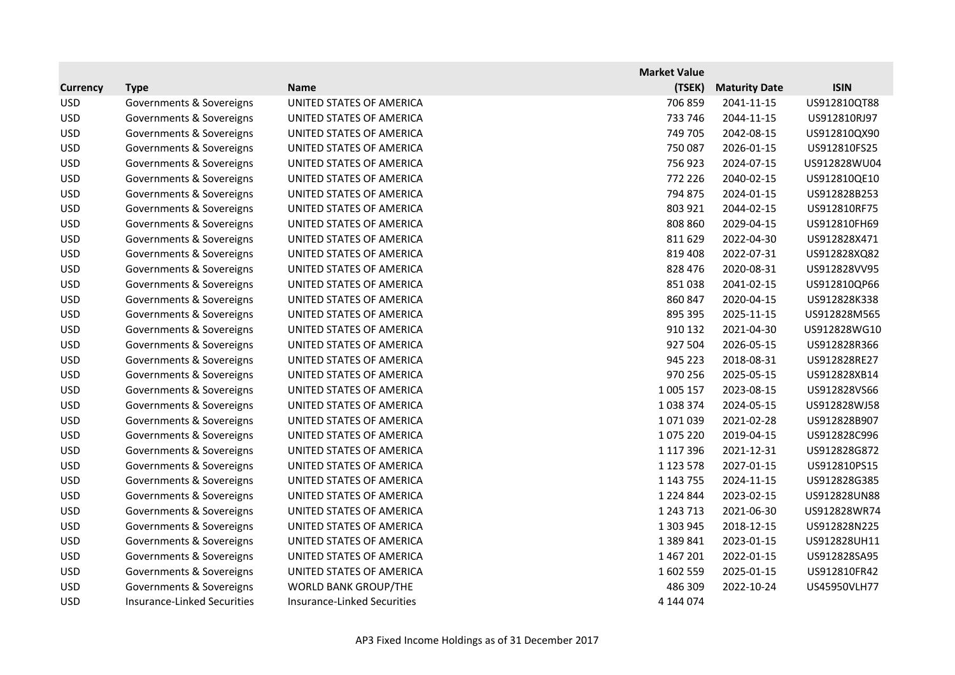|                 |                                    |                             | <b>Market Value</b> |                      |              |
|-----------------|------------------------------------|-----------------------------|---------------------|----------------------|--------------|
| <b>Currency</b> | <b>Type</b>                        | <b>Name</b>                 | (TSEK)              | <b>Maturity Date</b> | <b>ISIN</b>  |
| <b>USD</b>      | Governments & Sovereigns           | UNITED STATES OF AMERICA    | 706 859             | 2041-11-15           | US912810QT88 |
| <b>USD</b>      | Governments & Sovereigns           | UNITED STATES OF AMERICA    | 733 746             | 2044-11-15           | US912810RJ97 |
| <b>USD</b>      | Governments & Sovereigns           | UNITED STATES OF AMERICA    | 749 705             | 2042-08-15           | US912810QX90 |
| <b>USD</b>      | Governments & Sovereigns           | UNITED STATES OF AMERICA    | 750 087             | 2026-01-15           | US912810FS25 |
| <b>USD</b>      | Governments & Sovereigns           | UNITED STATES OF AMERICA    | 756923              | 2024-07-15           | US912828WU04 |
| <b>USD</b>      | Governments & Sovereigns           | UNITED STATES OF AMERICA    | 772 226             | 2040-02-15           | US912810QE10 |
| <b>USD</b>      | Governments & Sovereigns           | UNITED STATES OF AMERICA    | 794 875             | 2024-01-15           | US912828B253 |
| <b>USD</b>      | Governments & Sovereigns           | UNITED STATES OF AMERICA    | 803 921             | 2044-02-15           | US912810RF75 |
| <b>USD</b>      | Governments & Sovereigns           | UNITED STATES OF AMERICA    | 808 860             | 2029-04-15           | US912810FH69 |
| <b>USD</b>      | Governments & Sovereigns           | UNITED STATES OF AMERICA    | 811 629             | 2022-04-30           | US912828X471 |
| <b>USD</b>      | Governments & Sovereigns           | UNITED STATES OF AMERICA    | 819 408             | 2022-07-31           | US912828XQ82 |
| <b>USD</b>      | Governments & Sovereigns           | UNITED STATES OF AMERICA    | 828 476             | 2020-08-31           | US912828VV95 |
| <b>USD</b>      | Governments & Sovereigns           | UNITED STATES OF AMERICA    | 851038              | 2041-02-15           | US912810QP66 |
| <b>USD</b>      | Governments & Sovereigns           | UNITED STATES OF AMERICA    | 860 847             | 2020-04-15           | US912828K338 |
| <b>USD</b>      | Governments & Sovereigns           | UNITED STATES OF AMERICA    | 895 395             | 2025-11-15           | US912828M565 |
| <b>USD</b>      | Governments & Sovereigns           | UNITED STATES OF AMERICA    | 910 132             | 2021-04-30           | US912828WG10 |
| <b>USD</b>      | Governments & Sovereigns           | UNITED STATES OF AMERICA    | 927 504             | 2026-05-15           | US912828R366 |
| <b>USD</b>      | Governments & Sovereigns           | UNITED STATES OF AMERICA    | 945 223             | 2018-08-31           | US912828RE27 |
| <b>USD</b>      | Governments & Sovereigns           | UNITED STATES OF AMERICA    | 970 256             | 2025-05-15           | US912828XB14 |
| <b>USD</b>      | Governments & Sovereigns           | UNITED STATES OF AMERICA    | 1 005 157           | 2023-08-15           | US912828VS66 |
| <b>USD</b>      | Governments & Sovereigns           | UNITED STATES OF AMERICA    | 1038374             | 2024-05-15           | US912828WJ58 |
| <b>USD</b>      | Governments & Sovereigns           | UNITED STATES OF AMERICA    | 1071039             | 2021-02-28           | US912828B907 |
| <b>USD</b>      | Governments & Sovereigns           | UNITED STATES OF AMERICA    | 1075 220            | 2019-04-15           | US912828C996 |
| <b>USD</b>      | Governments & Sovereigns           | UNITED STATES OF AMERICA    | 1 1 1 7 3 9 6       | 2021-12-31           | US912828G872 |
| <b>USD</b>      | Governments & Sovereigns           | UNITED STATES OF AMERICA    | 1 1 2 3 5 7 8       | 2027-01-15           | US912810PS15 |
| <b>USD</b>      | Governments & Sovereigns           | UNITED STATES OF AMERICA    | 1 143 755           | 2024-11-15           | US912828G385 |
| <b>USD</b>      | Governments & Sovereigns           | UNITED STATES OF AMERICA    | 1 2 2 4 8 4 4       | 2023-02-15           | US912828UN88 |
| <b>USD</b>      | Governments & Sovereigns           | UNITED STATES OF AMERICA    | 1 2 4 3 7 1 3       | 2021-06-30           | US912828WR74 |
| <b>USD</b>      | Governments & Sovereigns           | UNITED STATES OF AMERICA    | 1 303 945           | 2018-12-15           | US912828N225 |
| <b>USD</b>      | Governments & Sovereigns           | UNITED STATES OF AMERICA    | 1 3 8 9 8 4 1       | 2023-01-15           | US912828UH11 |
| <b>USD</b>      | Governments & Sovereigns           | UNITED STATES OF AMERICA    | 1467201             | 2022-01-15           | US912828SA95 |
| <b>USD</b>      | Governments & Sovereigns           | UNITED STATES OF AMERICA    | 1602 559            | 2025-01-15           | US912810FR42 |
| <b>USD</b>      | Governments & Sovereigns           | <b>WORLD BANK GROUP/THE</b> | 486 309             | 2022-10-24           | US45950VLH77 |
| <b>USD</b>      | <b>Insurance-Linked Securities</b> | Insurance-Linked Securities | 4 144 074           |                      |              |